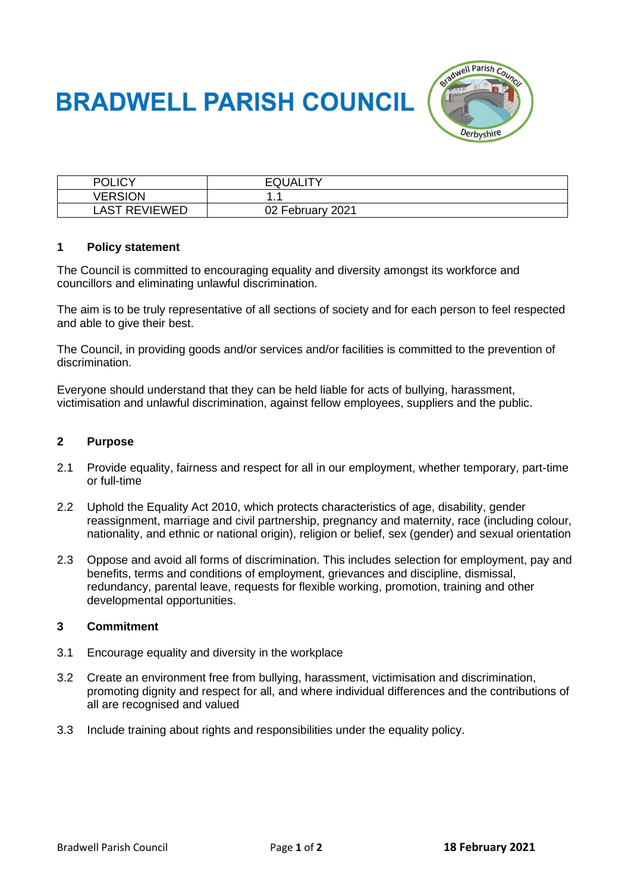# **BRADWELL PARISH COUNCIL**



| POLICY         | <b>EQUALITY</b>  |
|----------------|------------------|
| <b>VERSION</b> |                  |
| LAST REVIEWED  | 02 February 2021 |

#### **1 Policy statement**

The Council is committed to encouraging equality and diversity amongst its workforce and councillors and eliminating unlawful discrimination.

The aim is to be truly representative of all sections of society and for each person to feel respected and able to give their best.

The Council, in providing goods and/or services and/or facilities is committed to the prevention of discrimination.

Everyone should understand that they can be held liable for acts of bullying, harassment, victimisation and unlawful discrimination, against fellow employees, suppliers and the public.

### **2 Purpose**

- 2.1 Provide equality, fairness and respect for all in our employment, whether temporary, part-time or full-time
- 2.2 Uphold the Equality Act 2010, which protects characteristics of age, disability, gender reassignment, marriage and civil partnership, pregnancy and maternity, race (including colour, nationality, and ethnic or national origin), religion or belief, sex (gender) and sexual orientation
- 2.3 Oppose and avoid all forms of discrimination. This includes selection for employment, pay and benefits, terms and conditions of employment, grievances and discipline, dismissal, redundancy, parental leave, requests for flexible working, promotion, training and other developmental opportunities.

#### **3 Commitment**

- 3.1 Encourage equality and diversity in the workplace
- 3.2 Create an environment free from bullying, harassment, victimisation and discrimination, promoting dignity and respect for all, and where individual differences and the contributions of all are recognised and valued
- 3.3 Include training about rights and responsibilities under the equality policy.